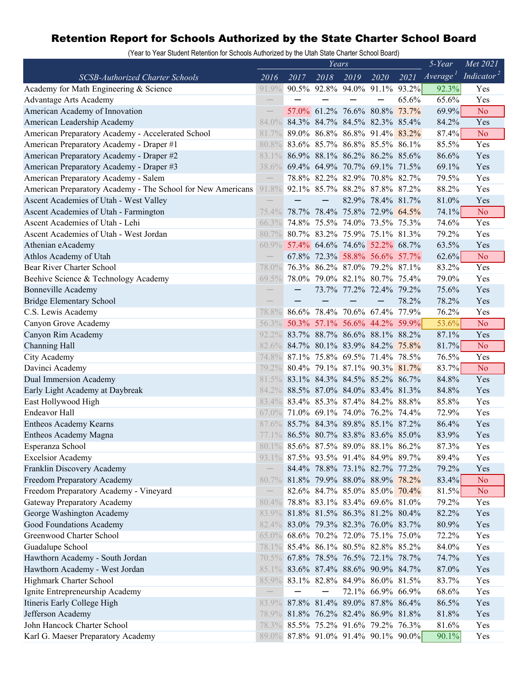## Retention Report for Schools Authorized by the State Charter School Board

(Year to Year Student Retention for Schools Authorized by the Utah State Charter School Board)

|                                                             | Years                    |      |      |                                     |                   |       | 5-Year               | Met 2021               |
|-------------------------------------------------------------|--------------------------|------|------|-------------------------------------|-------------------|-------|----------------------|------------------------|
| <b>SCSB-Authorized Charter Schools</b>                      | 2016                     | 2017 | 2018 | 2019                                | 2020              | 2021  | Average <sup>T</sup> | Indicator <sup>2</sup> |
| Academy for Math Engineering & Science                      | 91.9%                    |      |      | 90.5% 92.8% 94.0% 91.1% 93.2%       |                   |       | 92.3%                | Yes                    |
| <b>Advantage Arts Academy</b>                               |                          |      |      |                                     |                   | 65.6% | 65.6%                | Yes                    |
| American Academy of Innovation                              |                          |      |      | 57.0% 61.2% 76.6% 80.8% 73.7%       |                   |       | 69.9%                | N <sub>o</sub>         |
| American Leadership Academy                                 | 84.0%                    |      |      | 84.3% 84.7% 84.5% 82.3% 85.4%       |                   |       | 84.2%                | Yes                    |
| American Preparatory Academy - Accelerated School           | 81.7%                    |      |      | 89.0% 86.8% 86.8% 91.4% 83.2%       |                   |       | 87.4%                | N <sub>o</sub>         |
| American Preparatory Academy - Draper #1                    | 80.8%                    |      |      | 83.6% 85.7% 86.8% 85.5% 86.1%       |                   |       | 85.5%                | Yes                    |
| American Preparatory Academy - Draper #2                    | 83.1%                    |      |      | 86.9% 88.1% 86.2% 86.2% 85.6%       |                   |       | 86.6%                | Yes                    |
| American Preparatory Academy - Draper #3                    | 38.6%                    |      |      | 69.4% 64.9% 70.7% 69.1% 71.5%       |                   |       | 69.1%                | Yes                    |
| American Preparatory Academy - Salem                        |                          |      |      | 78.8% 82.2% 82.9% 70.8% 82.7%       |                   |       | 79.5%                | Yes                    |
| American Preparatory Academy - The School for New Americans | 91.8%                    |      |      | 92.1% 85.7% 88.2% 87.8% 87.2%       |                   |       | 88.2%                | Yes                    |
| Ascent Academies of Utah - West Valley                      |                          |      |      |                                     | 82.9% 78.4% 81.7% |       | 81.0%                | Yes                    |
| Ascent Academies of Utah - Farmington                       | $75.4\%$                 |      |      | 78.7% 78.4% 75.8% 72.9% 64.5%       |                   |       | 74.1%                | N <sub>o</sub>         |
| Ascent Academies of Utah - Lehi                             | 66.3%                    |      |      | 74.8% 75.5% 74.0% 73.5% 75.3%       |                   |       | 74.6%                | Yes                    |
| Ascent Academies of Utah - West Jordan                      | 80.7%                    |      |      | 80.7% 83.2% 75.9% 75.1% 81.3%       |                   |       | 79.2%                | Yes                    |
| Athenian eAcademy                                           | $60.9\%$                 |      |      | 57.4% 64.6% 74.6% 52.2% 68.7%       |                   |       | 63.5%                | Yes                    |
| Athlos Academy of Utah                                      |                          |      |      | 67.8% 72.3% 58.8% 56.6% 57.7%       |                   |       | $62.6\%$             | N <sub>o</sub>         |
| Bear River Charter School                                   | 78.0%                    |      |      | 76.3% 86.2% 87.0% 79.2% 87.1%       |                   |       | 83.2%                | Yes                    |
| Beehive Science & Technology Academy                        | 69.5%                    |      |      | 78.0% 79.0% 82.1% 80.7% 75.4%       |                   |       | 79.0%                | Yes                    |
| <b>Bonneville Academy</b>                                   |                          |      |      | 73.7% 77.2% 72.4% 79.2%             |                   |       | 75.6%                | Yes                    |
| <b>Bridge Elementary School</b>                             |                          |      |      |                                     |                   | 78.2% | 78.2%                | Yes                    |
| C.S. Lewis Academy                                          | 78.8%                    |      |      | 86.6% 78.4% 70.6% 67.4% 77.9%       |                   |       | 76.2%                | Yes                    |
| Canyon Grove Academy                                        | 56.3%                    |      |      | 50.3% 57.1% 56.6% 44.2% 59.9%       |                   |       | 53.6%                | N <sub>o</sub>         |
| Canyon Rim Academy                                          |                          |      |      | 92.2% 83.7% 88.7% 86.6% 88.1% 88.2% |                   |       | 87.1%                | Yes                    |
| Channing Hall                                               | 82.6%                    |      |      | 84.7% 80.1% 83.9% 84.2% 75.8%       |                   |       | 81.7%                | N <sub>o</sub>         |
| City Academy                                                | 74.8%                    |      |      | 87.1% 75.8% 69.5% 71.4% 78.5%       |                   |       | 76.5%                | Yes                    |
| Davinci Academy                                             | 79.2%                    |      |      | 80.4% 79.1% 87.1% 90.3% 81.7%       |                   |       | 83.7%                | N <sub>o</sub>         |
| Dual Immersion Academy                                      | 81.5%                    |      |      | 83.1% 84.3% 84.5% 85.2% 86.7%       |                   |       | 84.8%                | Yes                    |
| Early Light Academy at Daybreak                             | 84.2%                    |      |      | 88.5% 87.0% 84.0% 83.4% 81.3%       |                   |       | 84.8%                | Yes                    |
| East Hollywood High                                         | 83.4%                    |      |      | 83.4% 85.3% 87.4% 84.2% 88.8%       |                   |       | 85.8%                | Yes                    |
| <b>Endeavor Hall</b>                                        | $67.0\%$                 |      |      | 71.0% 69.1% 74.0% 76.2% 74.4%       |                   |       | 72.9%                | Yes                    |
| Entheos Academy Kearns                                      | 87.6%                    |      |      | 85.7% 84.3% 89.8% 85.1% 87.2%       |                   |       | 86.4%                | Yes                    |
| Entheos Academy Magna                                       | 77.1%                    |      |      | 86.5% 80.7% 83.8% 83.6% 85.0%       |                   |       | 83.9%                | Yes                    |
| Esperanza School                                            |                          |      |      | 80.1% 85.6% 87.5% 89.0% 88.1% 86.2% |                   |       | 87.3%                | Yes                    |
| <b>Excelsior Academy</b>                                    | $93.1\%$                 |      |      | 87.5% 93.5% 91.4% 84.9% 89.7%       |                   |       | 89.4%                | Yes                    |
| Franklin Discovery Academy                                  |                          |      |      | 84.4% 78.8% 73.1% 82.7% 77.2%       |                   |       | 79.2%                | Yes                    |
| Freedom Preparatory Academy                                 | 80.7%                    |      |      | 81.8% 79.9% 88.0% 88.9% 78.2%       |                   |       | 83.4%                | No                     |
| Freedom Preparatory Academy - Vineyard                      | $\overline{\phantom{m}}$ |      |      | 82.6% 84.7% 85.0% 85.0% 70.4%       |                   |       | 81.5%                | N <sub>o</sub>         |
| Gateway Preparatory Academy                                 | 80.4%                    |      |      | 78.8% 83.1% 83.4% 69.6% 81.0%       |                   |       | 79.2%                | Yes                    |
| George Washington Academy                                   | 83.9%                    |      |      | 81.8% 81.5% 86.3% 81.2% 80.4%       |                   |       | 82.2%                | Yes                    |
| Good Foundations Academy                                    | 82.4%                    |      |      | 83.0% 79.3% 82.3% 76.0% 83.7%       |                   |       | 80.9%                | Yes                    |
| Greenwood Charter School                                    | $65.0\%$                 |      |      | 68.6% 70.2% 72.0% 75.1% 75.0%       |                   |       | 72.2%                | Yes                    |
| Guadalupe School                                            | 78.1%                    |      |      | 85.4% 86.1% 80.5% 82.8% 85.2%       |                   |       | 84.0%                | Yes                    |
| Hawthorn Academy - South Jordan                             |                          |      |      | 70.5% 67.8% 78.5% 76.5% 72.1% 78.7% |                   |       | 74.7%                | Yes                    |
| Hawthorn Academy - West Jordan                              |                          |      |      | 85.1% 83.6% 87.4% 88.6% 90.9% 84.7% |                   |       | 87.0%                | Yes                    |
| Highmark Charter School                                     | $85.9\%$                 |      |      | 83.1% 82.8% 84.9% 86.0% 81.5%       |                   |       | 83.7%                | Yes                    |
| Ignite Entrepreneurship Academy                             |                          |      |      |                                     | 72.1% 66.9% 66.9% |       | 68.6%                | Yes                    |
| Itineris Early College High                                 |                          |      |      | 83.9% 87.8% 81.4% 89.0% 87.8% 86.4% |                   |       | 86.5%                | Yes                    |
| Jefferson Academy                                           | 78.9%                    |      |      | 81.8% 76.2% 82.4% 86.9% 81.8%       |                   |       | 81.8%                | Yes                    |
| John Hancock Charter School                                 |                          |      |      | 78.3% 85.5% 75.2% 91.6% 79.2% 76.3% |                   |       | 81.6%                | Yes                    |
| Karl G. Maeser Preparatory Academy                          |                          |      |      | 89.0% 87.8% 91.0% 91.4% 90.1% 90.0% |                   |       | $90.1\%$             | Yes                    |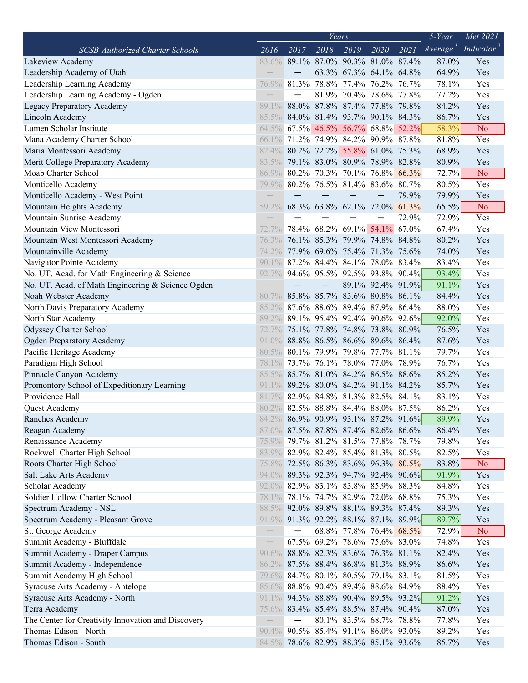|                                                                |                          | Years |      |                                     |                          |                                     |                      | Met 2021               |
|----------------------------------------------------------------|--------------------------|-------|------|-------------------------------------|--------------------------|-------------------------------------|----------------------|------------------------|
| <b>SCSB-Authorized Charter Schools</b>                         | 2016                     | 2017  | 2018 | 2019                                | 2020                     | $\overline{2021}$                   | Average <sup>1</sup> | Indicator <sup>2</sup> |
| Lakeview Academy                                               | 83.6%                    |       |      | 89.1% 87.0% 90.3% 81.0% 87.4%       |                          |                                     | 87.0%                | Yes                    |
| Leadership Academy of Utah                                     |                          |       |      | 63.3% 67.3% 64.1% 64.8%             |                          |                                     | 64.9%                | Yes                    |
| Leadership Learning Academy                                    | 76.9%                    |       |      | 81.3% 78.8% 77.4% 76.2% 76.7%       |                          |                                     | 78.1%                | Yes                    |
| Leadership Learning Academy - Ogden                            |                          |       |      | 81.9% 70.4% 78.6% 77.8%             |                          |                                     | 77.2%                | Yes                    |
| Legacy Preparatory Academy                                     | 89.1%                    |       |      | 88.0% 87.8% 87.4% 77.8% 79.8%       |                          |                                     | 84.2%                | Yes                    |
| Lincoln Academy                                                | $85.5\%$                 |       |      | 84.0% 81.4% 93.7% 90.1% 84.3%       |                          |                                     | 86.7%                | Yes                    |
| Lumen Scholar Institute                                        | 64.5%                    |       |      | 67.5% 46.5% 56.7% 68.8% 52.2%       |                          |                                     | 58.3%                | N <sub>o</sub>         |
| Mana Academy Charter School                                    | $66.1\%$                 |       |      | 71.2% 74.9% 84.2% 90.9% 87.8%       |                          |                                     | 81.8%                | Yes                    |
| Maria Montessori Academy                                       | 82.4%                    |       |      | 80.2% 72.2% 55.8% 61.0% 75.3%       |                          |                                     | 68.9%                | Yes                    |
| Merit College Preparatory Academy                              | 83.5%                    |       |      | 79.1% 83.0% 80.9% 78.9% 82.8%       |                          |                                     | 80.9%                | Yes                    |
| Moab Charter School                                            | 86.9%                    |       |      | 80.2% 70.3% 70.1% 76.8% 66.3%       |                          |                                     | 72.7%                | N <sub>o</sub>         |
| Monticello Academy                                             | 79.9%                    |       |      | 80.2% 76.5% 81.4% 83.6% 80.7%       |                          |                                     | 80.5%                | Yes                    |
| Monticello Academy - West Point                                |                          |       |      |                                     | $\overline{\phantom{0}}$ | 79.9%                               | 79.9%                | Yes                    |
| Mountain Heights Academy                                       | $59.2\%$                 |       |      | 68.3% 63.8% 62.1% 72.0% 61.3%       |                          |                                     | 65.5%                | N <sub>o</sub>         |
| Mountain Sunrise Academy                                       |                          |       |      |                                     |                          | 72.9%                               | 72.9%                | Yes                    |
| Mountain View Montessori                                       |                          |       |      | 78.4% 68.2% 69.1% 54.1% 67.0%       |                          |                                     | 67.4%                | Yes                    |
| Mountain West Montessori Academy                               | 76.3%                    |       |      | 76.1% 85.3% 79.9% 74.8% 84.8%       |                          |                                     | 80.2%                | Yes                    |
| Mountainville Academy                                          | 74.2%                    |       |      | 77.9% 69.6% 75.4% 71.3% 75.6%       |                          |                                     | 74.0%                | Yes                    |
| Navigator Pointe Academy                                       | $90.1\%$                 |       |      | 87.2% 84.4% 84.1% 78.0% 83.4%       |                          |                                     | 83.4%                | Yes                    |
| No. UT. Acad. for Math Engineering & Science                   | $92.7\%$                 |       |      | 94.6% 95.5% 92.5% 93.8% 90.4%       |                          |                                     | 93.4%                | Yes                    |
| No. UT. Acad. of Math Engineering & Science Ogden              |                          |       |      |                                     |                          | 89.1% 92.4% 91.9%                   | 91.1%                | Yes                    |
| Noah Webster Academy                                           | 80.7%                    |       |      | 85.8% 85.7% 83.6% 80.8% 86.1%       |                          |                                     | 84.4%                | Yes                    |
| North Davis Preparatory Academy                                | 85.2%                    |       |      | 87.6% 88.6% 89.4% 87.9% 86.4%       |                          |                                     | 88.0%                | Yes                    |
| North Star Academy                                             | 89.2%                    |       |      | 89.1% 95.4% 92.4% 90.6% 92.6%       |                          |                                     | 92.0%                | Yes                    |
| Odyssey Charter School                                         | $72.7\%$                 |       |      | 75.1% 77.8% 74.8% 73.8% 80.9%       |                          |                                     | 76.5%                | Yes                    |
| <b>Ogden Preparatory Academy</b>                               | $91.0\%$                 |       |      | 88.8% 86.5% 86.6% 89.6% 86.4%       |                          |                                     | 87.6%                | Yes                    |
| Pacific Heritage Academy                                       | $80.5\%$                 |       |      | 80.1% 79.9% 79.8% 77.7% 81.1%       |                          |                                     | 79.7%                | Yes                    |
| Paradigm High School                                           | 78.1%                    |       |      | 73.7% 76.1% 78.0% 77.0% 78.9%       |                          |                                     | 76.7%                | Yes                    |
| Pinnacle Canyon Academy                                        | $85.5\%$                 |       |      | 85.7% 81.0% 84.2% 86.5% 88.6%       |                          |                                     | 85.2%                | Yes                    |
|                                                                |                          |       |      | 89.2% 80.0% 84.2% 91.1% 84.2%       |                          |                                     |                      | Yes                    |
| Promontory School of Expeditionary Learning<br>Providence Hall | 91.1%                    |       |      |                                     |                          |                                     | 85.7%                |                        |
|                                                                | 81.7%                    |       |      | 82.9% 84.8% 81.3% 82.5% 84.1%       |                          |                                     | 83.1%                | Yes                    |
| Quest Academy                                                  | 80.2%                    |       |      | 82.5% 88.8% 84.4% 88.0% 87.5%       |                          |                                     | 86.2%                | Yes                    |
| Ranches Academy                                                |                          |       |      |                                     |                          | 84.2% 86.9% 90.9% 93.1% 87.2% 91.6% | 89.9%                | Yes                    |
| Reagan Academy                                                 |                          |       |      | 87.0% 87.5% 87.8% 87.4% 82.6% 86.6% |                          |                                     | 86.4%                | Yes                    |
| Renaissance Academy                                            | $75.9\%$                 |       |      | 79.7% 81.2% 81.5% 77.8% 78.7%       |                          |                                     | 79.8%                | Yes                    |
| Rockwell Charter High School                                   |                          |       |      | 83.9% 82.9% 82.4% 85.4% 81.3% 80.5% |                          |                                     | 82.5%                | Yes                    |
| Roots Charter High School                                      |                          |       |      | 75.8% 72.5% 86.3% 83.6% 96.3% 80.5% |                          |                                     | 83.8%                | N <sub>o</sub>         |
| Salt Lake Arts Academy                                         |                          |       |      |                                     |                          | 94.0% 89.3% 92.3% 94.7% 92.4% 90.6% | 91.9%                | Yes                    |
| Scholar Academy                                                |                          |       |      | 92.0% 82.9% 83.1% 83.8% 85.9% 88.3% |                          |                                     | 84.8%                | Yes                    |
| Soldier Hollow Charter School                                  | 78.1%                    |       |      | 78.1% 74.7% 82.9% 72.0% 68.8%       |                          |                                     | 75.3%                | Yes                    |
| Spectrum Academy - NSL                                         |                          |       |      | 88.5% 92.0% 89.8% 88.1% 89.3% 87.4% |                          |                                     | 89.3%                | Yes                    |
| Spectrum Academy - Pleasant Grove                              |                          |       |      |                                     |                          | 91.9% 91.3% 92.2% 88.1% 87.1% 89.9% | 89.7%                | Yes                    |
| St. George Academy                                             |                          |       |      | 68.8% 77.8% 76.4% 68.5%             |                          |                                     | 72.9%                | N <sub>o</sub>         |
| Summit Academy - Bluffdale                                     | $\overline{\phantom{0}}$ |       |      | 67.5% 69.2% 78.6% 75.6% 83.0%       |                          |                                     | 74.8%                | Yes                    |
| Summit Academy - Draper Campus                                 |                          |       |      | 90.6% 88.8% 82.3% 83.6% 76.3% 81.1% |                          |                                     | 82.4%                | Yes                    |
| Summit Academy - Independence                                  |                          |       |      | 86.2% 87.5% 88.4% 86.8% 81.3% 88.9% |                          |                                     | 86.6%                | Yes                    |
| Summit Academy High School                                     | 79.6%                    |       |      | 84.7% 80.1% 80.5% 79.1% 83.1%       |                          |                                     | 81.5%                | Yes                    |
| Syracuse Arts Academy - Antelope                               |                          |       |      | 85.6% 88.8% 90.4% 89.4% 88.6% 84.9% |                          |                                     | 88.4%                | Yes                    |
| Syracuse Arts Academy - North                                  |                          |       |      |                                     |                          | 91.1% 94.3% 88.8% 90.4% 89.5% 93.2% | 91.2%                | Yes                    |
| Terra Academy                                                  |                          |       |      | 75.6% 83.4% 85.4% 88.5% 87.4% 90.4% |                          |                                     | 87.0%                | Yes                    |
| The Center for Creativity Innovation and Discovery             |                          |       |      | 80.1% 83.5% 68.7% 78.8%             |                          |                                     | 77.8%                | Yes                    |
| Thomas Edison - North                                          |                          |       |      | 90.4% 90.5% 85.4% 91.1% 86.0% 93.0% |                          |                                     | 89.2%                | Yes                    |
| Thomas Edison - South                                          |                          |       |      | 84.5% 78.6% 82.9% 88.3% 85.1% 93.6% |                          |                                     | 85.7%                | Yes                    |